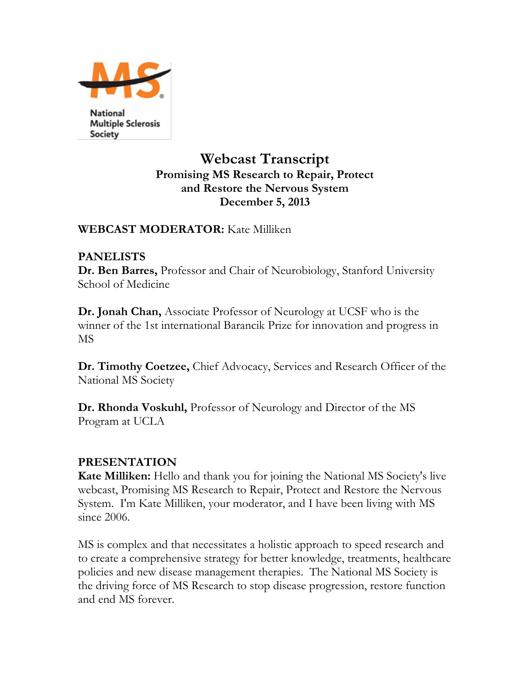

**National Multiple Sclerosis** Society

# **Webcast Transcript Promising MS Research to Repair, Protect and Restore the Nervous System December 5, 2013**

### **WEBCAST MODERATOR:** Kate Milliken

### **PANELISTS**

**Dr. Ben Barres,** Professor and Chair of Neurobiology, Stanford University School of Medicine

**Dr. Jonah Chan,** Associate Professor of Neurology at UCSF who is the winner of the 1st international Barancik Prize for innovation and progress in MS

**Dr. Timothy Coetzee,** Chief Advocacy, Services and Research Officer of the National MS Society

**Dr. Rhonda Voskuhl,** Professor of Neurology and Director of the MS Program at UCLA

# **PRESENTATION**

**Kate Milliken:** Hello and thank you for joining the National MS Society's live webcast, Promising MS Research to Repair, Protect and Restore the Nervous System. I'm Kate Milliken, your moderator, and I have been living with MS since 2006.

MS is complex and that necessitates a holistic approach to speed research and to create a comprehensive strategy for better knowledge, treatments, healthcare policies and new disease management therapies. The National MS Society is the driving force of MS Research to stop disease progression, restore function and end MS forever.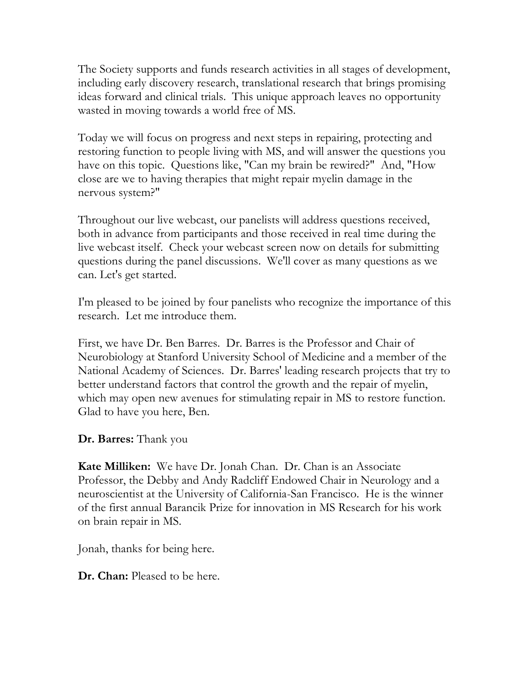The Society supports and funds research activities in all stages of development, including early discovery research, translational research that brings promising ideas forward and clinical trials. This unique approach leaves no opportunity wasted in moving towards a world free of MS.

Today we will focus on progress and next steps in repairing, protecting and restoring function to people living with MS, and will answer the questions you have on this topic. Questions like, "Can my brain be rewired?" And, "How close are we to having therapies that might repair myelin damage in the nervous system?"

Throughout our live webcast, our panelists will address questions received, both in advance from participants and those received in real time during the live webcast itself. Check your webcast screen now on details for submitting questions during the panel discussions. We'll cover as many questions as we can. Let's get started.

I'm pleased to be joined by four panelists who recognize the importance of this research. Let me introduce them.

First, we have Dr. Ben Barres. Dr. Barres is the Professor and Chair of Neurobiology at Stanford University School of Medicine and a member of the National Academy of Sciences. Dr. Barres' leading research projects that try to better understand factors that control the growth and the repair of myelin, which may open new avenues for stimulating repair in MS to restore function. Glad to have you here, Ben.

### **Dr. Barres:** Thank you

**Kate Milliken:** We have Dr. Jonah Chan. Dr. Chan is an Associate Professor, the Debby and Andy Radcliff Endowed Chair in Neurology and a neuroscientist at the University of California-San Francisco. He is the winner of the first annual Barancik Prize for innovation in MS Research for his work on brain repair in MS.

Jonah, thanks for being here.

**Dr. Chan:** Pleased to be here.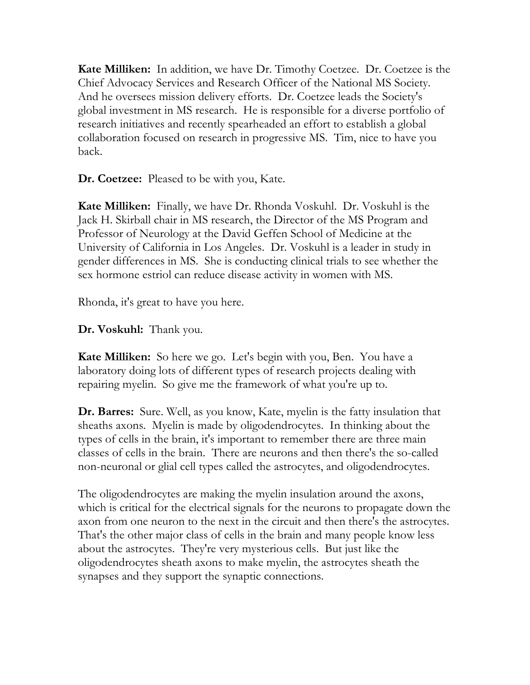**Kate Milliken:** In addition, we have Dr. Timothy Coetzee. Dr. Coetzee is the Chief Advocacy Services and Research Officer of the National MS Society. And he oversees mission delivery efforts. Dr. Coetzee leads the Society's global investment in MS research. He is responsible for a diverse portfolio of research initiatives and recently spearheaded an effort to establish a global collaboration focused on research in progressive MS. Tim, nice to have you back.

**Dr. Coetzee:** Pleased to be with you, Kate.

**Kate Milliken:** Finally, we have Dr. Rhonda Voskuhl. Dr. Voskuhl is the Jack H. Skirball chair in MS research, the Director of the MS Program and Professor of Neurology at the David Geffen School of Medicine at the University of California in Los Angeles. Dr. Voskuhl is a leader in study in gender differences in MS. She is conducting clinical trials to see whether the sex hormone estriol can reduce disease activity in women with MS.

Rhonda, it's great to have you here.

**Dr. Voskuhl:** Thank you.

**Kate Milliken:** So here we go. Let's begin with you, Ben. You have a laboratory doing lots of different types of research projects dealing with repairing myelin. So give me the framework of what you're up to.

**Dr. Barres:** Sure. Well, as you know, Kate, myelin is the fatty insulation that sheaths axons. Myelin is made by oligodendrocytes. In thinking about the types of cells in the brain, it's important to remember there are three main classes of cells in the brain. There are neurons and then there's the so-called non-neuronal or glial cell types called the astrocytes, and oligodendrocytes.

The oligodendrocytes are making the myelin insulation around the axons, which is critical for the electrical signals for the neurons to propagate down the axon from one neuron to the next in the circuit and then there's the astrocytes. That's the other major class of cells in the brain and many people know less about the astrocytes. They're very mysterious cells. But just like the oligodendrocytes sheath axons to make myelin, the astrocytes sheath the synapses and they support the synaptic connections.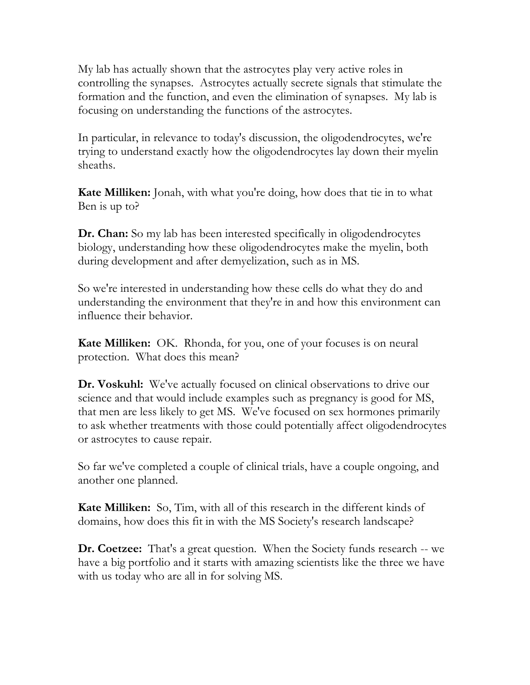My lab has actually shown that the astrocytes play very active roles in controlling the synapses. Astrocytes actually secrete signals that stimulate the formation and the function, and even the elimination of synapses. My lab is focusing on understanding the functions of the astrocytes.

In particular, in relevance to today's discussion, the oligodendrocytes, we're trying to understand exactly how the oligodendrocytes lay down their myelin sheaths.

**Kate Milliken:** Jonah, with what you're doing, how does that tie in to what Ben is up to?

**Dr. Chan:** So my lab has been interested specifically in oligodendrocytes biology, understanding how these oligodendrocytes make the myelin, both during development and after demyelization, such as in MS.

So we're interested in understanding how these cells do what they do and understanding the environment that they're in and how this environment can influence their behavior.

**Kate Milliken:** OK. Rhonda, for you, one of your focuses is on neural protection. What does this mean?

**Dr. Voskuhl:** We've actually focused on clinical observations to drive our science and that would include examples such as pregnancy is good for MS, that men are less likely to get MS. We've focused on sex hormones primarily to ask whether treatments with those could potentially affect oligodendrocytes or astrocytes to cause repair.

So far we've completed a couple of clinical trials, have a couple ongoing, and another one planned.

**Kate Milliken:** So, Tim, with all of this research in the different kinds of domains, how does this fit in with the MS Society's research landscape?

**Dr. Coetzee:** That's a great question. When the Society funds research -- we have a big portfolio and it starts with amazing scientists like the three we have with us today who are all in for solving MS.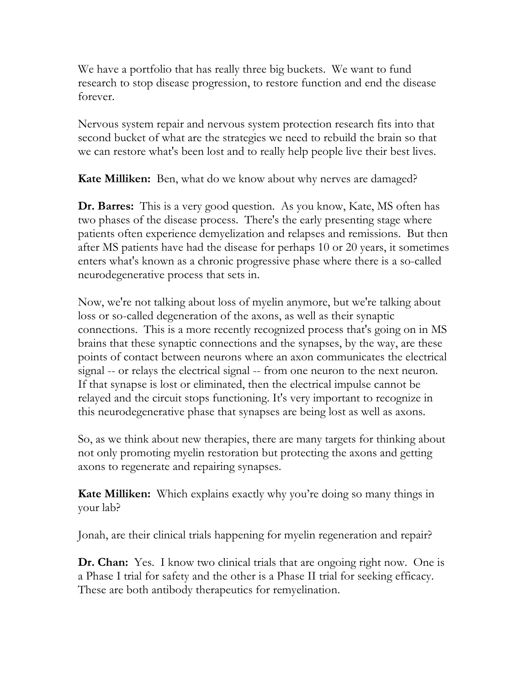We have a portfolio that has really three big buckets. We want to fund research to stop disease progression, to restore function and end the disease forever.

Nervous system repair and nervous system protection research fits into that second bucket of what are the strategies we need to rebuild the brain so that we can restore what's been lost and to really help people live their best lives.

**Kate Milliken:** Ben, what do we know about why nerves are damaged?

**Dr. Barres:** This is a very good question. As you know, Kate, MS often has two phases of the disease process. There's the early presenting stage where patients often experience demyelization and relapses and remissions. But then after MS patients have had the disease for perhaps 10 or 20 years, it sometimes enters what's known as a chronic progressive phase where there is a so-called neurodegenerative process that sets in.

Now, we're not talking about loss of myelin anymore, but we're talking about loss or so-called degeneration of the axons, as well as their synaptic connections. This is a more recently recognized process that's going on in MS brains that these synaptic connections and the synapses, by the way, are these points of contact between neurons where an axon communicates the electrical signal -- or relays the electrical signal -- from one neuron to the next neuron. If that synapse is lost or eliminated, then the electrical impulse cannot be relayed and the circuit stops functioning. It's very important to recognize in this neurodegenerative phase that synapses are being lost as well as axons.

So, as we think about new therapies, there are many targets for thinking about not only promoting myelin restoration but protecting the axons and getting axons to regenerate and repairing synapses.

**Kate Milliken:** Which explains exactly why you're doing so many things in your lab?

Jonah, are their clinical trials happening for myelin regeneration and repair?

**Dr. Chan:** Yes. I know two clinical trials that are ongoing right now. One is a Phase I trial for safety and the other is a Phase II trial for seeking efficacy. These are both antibody therapeutics for remyelination.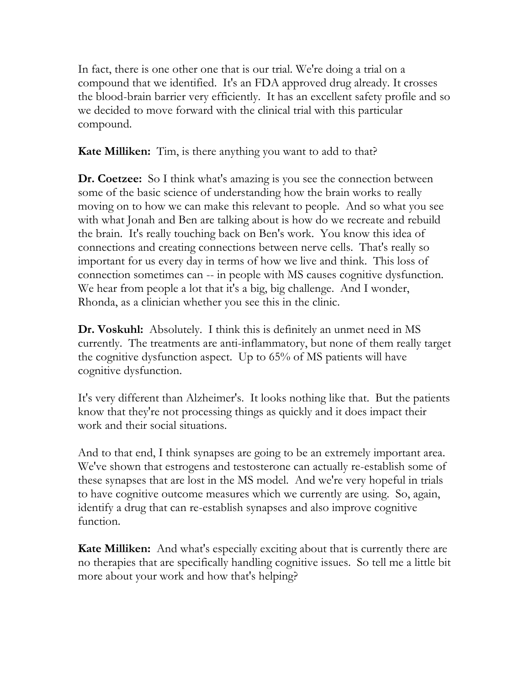In fact, there is one other one that is our trial. We're doing a trial on a compound that we identified. It's an FDA approved drug already. It crosses the blood-brain barrier very efficiently. It has an excellent safety profile and so we decided to move forward with the clinical trial with this particular compound.

**Kate Milliken:** Tim, is there anything you want to add to that?

**Dr. Coetzee:** So I think what's amazing is you see the connection between some of the basic science of understanding how the brain works to really moving on to how we can make this relevant to people. And so what you see with what Jonah and Ben are talking about is how do we recreate and rebuild the brain. It's really touching back on Ben's work. You know this idea of connections and creating connections between nerve cells. That's really so important for us every day in terms of how we live and think. This loss of connection sometimes can -- in people with MS causes cognitive dysfunction. We hear from people a lot that it's a big, big challenge. And I wonder, Rhonda, as a clinician whether you see this in the clinic.

**Dr. Voskuhl:** Absolutely. I think this is definitely an unmet need in MS currently. The treatments are anti-inflammatory, but none of them really target the cognitive dysfunction aspect. Up to 65% of MS patients will have cognitive dysfunction.

It's very different than Alzheimer's. It looks nothing like that. But the patients know that they're not processing things as quickly and it does impact their work and their social situations.

And to that end, I think synapses are going to be an extremely important area. We've shown that estrogens and testosterone can actually re-establish some of these synapses that are lost in the MS model. And we're very hopeful in trials to have cognitive outcome measures which we currently are using. So, again, identify a drug that can re-establish synapses and also improve cognitive function.

**Kate Milliken:** And what's especially exciting about that is currently there are no therapies that are specifically handling cognitive issues. So tell me a little bit more about your work and how that's helping?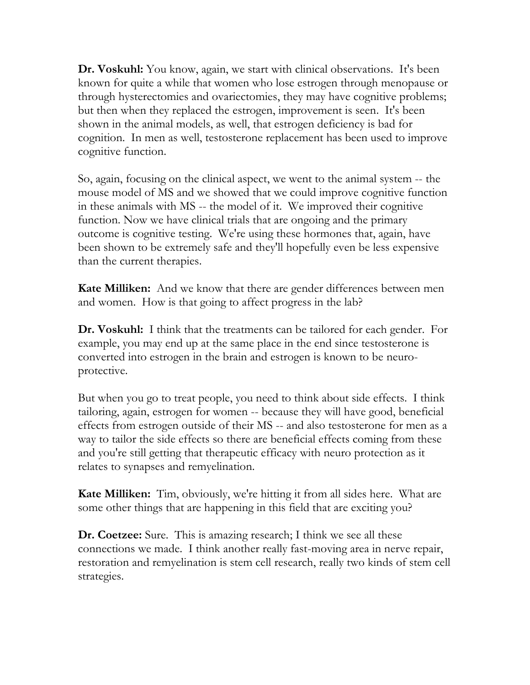**Dr. Voskuhl:** You know, again, we start with clinical observations. It's been known for quite a while that women who lose estrogen through menopause or through hysterectomies and ovariectomies, they may have cognitive problems; but then when they replaced the estrogen, improvement is seen. It's been shown in the animal models, as well, that estrogen deficiency is bad for cognition. In men as well, testosterone replacement has been used to improve cognitive function.

So, again, focusing on the clinical aspect, we went to the animal system -- the mouse model of MS and we showed that we could improve cognitive function in these animals with MS -- the model of it. We improved their cognitive function. Now we have clinical trials that are ongoing and the primary outcome is cognitive testing. We're using these hormones that, again, have been shown to be extremely safe and they'll hopefully even be less expensive than the current therapies.

**Kate Milliken:** And we know that there are gender differences between men and women. How is that going to affect progress in the lab?

**Dr. Voskuhl:** I think that the treatments can be tailored for each gender. For example, you may end up at the same place in the end since testosterone is converted into estrogen in the brain and estrogen is known to be neuroprotective.

But when you go to treat people, you need to think about side effects. I think tailoring, again, estrogen for women -- because they will have good, beneficial effects from estrogen outside of their MS -- and also testosterone for men as a way to tailor the side effects so there are beneficial effects coming from these and you're still getting that therapeutic efficacy with neuro protection as it relates to synapses and remyelination.

**Kate Milliken:** Tim, obviously, we're hitting it from all sides here. What are some other things that are happening in this field that are exciting you?

**Dr. Coetzee:** Sure. This is amazing research; I think we see all these connections we made. I think another really fast-moving area in nerve repair, restoration and remyelination is stem cell research, really two kinds of stem cell strategies.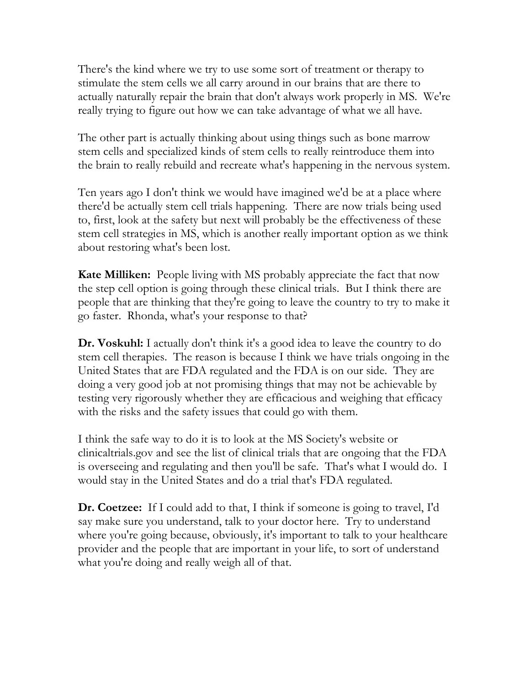There's the kind where we try to use some sort of treatment or therapy to stimulate the stem cells we all carry around in our brains that are there to actually naturally repair the brain that don't always work properly in MS. We're really trying to figure out how we can take advantage of what we all have.

The other part is actually thinking about using things such as bone marrow stem cells and specialized kinds of stem cells to really reintroduce them into the brain to really rebuild and recreate what's happening in the nervous system.

Ten years ago I don't think we would have imagined we'd be at a place where there'd be actually stem cell trials happening. There are now trials being used to, first, look at the safety but next will probably be the effectiveness of these stem cell strategies in MS, which is another really important option as we think about restoring what's been lost.

**Kate Milliken:** People living with MS probably appreciate the fact that now the step cell option is going through these clinical trials. But I think there are people that are thinking that they're going to leave the country to try to make it go faster. Rhonda, what's your response to that?

**Dr. Voskuhl:** I actually don't think it's a good idea to leave the country to do stem cell therapies. The reason is because I think we have trials ongoing in the United States that are FDA regulated and the FDA is on our side. They are doing a very good job at not promising things that may not be achievable by testing very rigorously whether they are efficacious and weighing that efficacy with the risks and the safety issues that could go with them.

I think the safe way to do it is to look at the MS Society's website or clinicaltrials.gov and see the list of clinical trials that are ongoing that the FDA is overseeing and regulating and then you'll be safe. That's what I would do. I would stay in the United States and do a trial that's FDA regulated.

**Dr. Coetzee:** If I could add to that, I think if someone is going to travel, I'd say make sure you understand, talk to your doctor here. Try to understand where you're going because, obviously, it's important to talk to your healthcare provider and the people that are important in your life, to sort of understand what you're doing and really weigh all of that.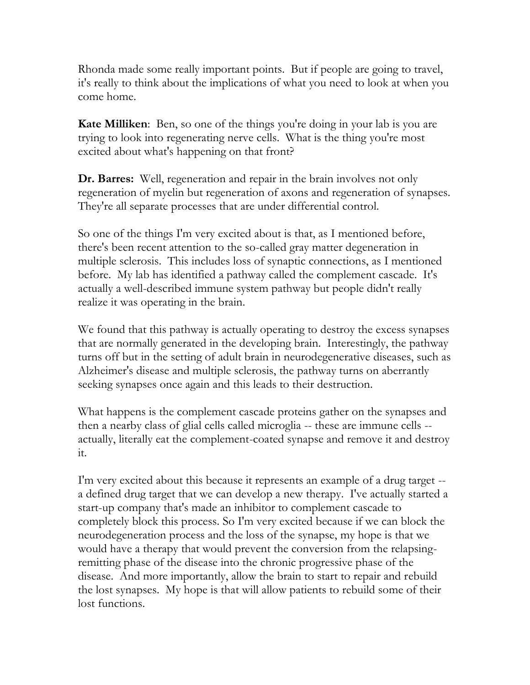Rhonda made some really important points. But if people are going to travel, it's really to think about the implications of what you need to look at when you come home.

**Kate Milliken**: Ben, so one of the things you're doing in your lab is you are trying to look into regenerating nerve cells. What is the thing you're most excited about what's happening on that front?

**Dr. Barres:** Well, regeneration and repair in the brain involves not only regeneration of myelin but regeneration of axons and regeneration of synapses. They're all separate processes that are under differential control.

So one of the things I'm very excited about is that, as I mentioned before, there's been recent attention to the so-called gray matter degeneration in multiple sclerosis. This includes loss of synaptic connections, as I mentioned before. My lab has identified a pathway called the complement cascade. It's actually a well-described immune system pathway but people didn't really realize it was operating in the brain.

We found that this pathway is actually operating to destroy the excess synapses that are normally generated in the developing brain. Interestingly, the pathway turns off but in the setting of adult brain in neurodegenerative diseases, such as Alzheimer's disease and multiple sclerosis, the pathway turns on aberrantly seeking synapses once again and this leads to their destruction.

What happens is the complement cascade proteins gather on the synapses and then a nearby class of glial cells called microglia -- these are immune cells - actually, literally eat the complement-coated synapse and remove it and destroy it.

I'm very excited about this because it represents an example of a drug target - a defined drug target that we can develop a new therapy. I've actually started a start-up company that's made an inhibitor to complement cascade to completely block this process. So I'm very excited because if we can block the neurodegeneration process and the loss of the synapse, my hope is that we would have a therapy that would prevent the conversion from the relapsingremitting phase of the disease into the chronic progressive phase of the disease. And more importantly, allow the brain to start to repair and rebuild the lost synapses. My hope is that will allow patients to rebuild some of their lost functions.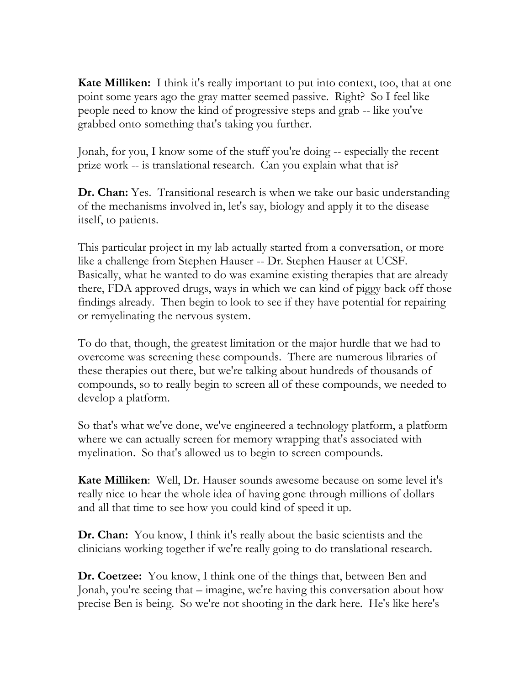**Kate Milliken:** I think it's really important to put into context, too, that at one point some years ago the gray matter seemed passive. Right? So I feel like people need to know the kind of progressive steps and grab -- like you've grabbed onto something that's taking you further.

Jonah, for you, I know some of the stuff you're doing -- especially the recent prize work -- is translational research. Can you explain what that is?

**Dr. Chan:** Yes. Transitional research is when we take our basic understanding of the mechanisms involved in, let's say, biology and apply it to the disease itself, to patients.

This particular project in my lab actually started from a conversation, or more like a challenge from Stephen Hauser -- Dr. Stephen Hauser at UCSF. Basically, what he wanted to do was examine existing therapies that are already there, FDA approved drugs, ways in which we can kind of piggy back off those findings already. Then begin to look to see if they have potential for repairing or remyelinating the nervous system.

To do that, though, the greatest limitation or the major hurdle that we had to overcome was screening these compounds. There are numerous libraries of these therapies out there, but we're talking about hundreds of thousands of compounds, so to really begin to screen all of these compounds, we needed to develop a platform.

So that's what we've done, we've engineered a technology platform, a platform where we can actually screen for memory wrapping that's associated with myelination. So that's allowed us to begin to screen compounds.

**Kate Milliken**: Well, Dr. Hauser sounds awesome because on some level it's really nice to hear the whole idea of having gone through millions of dollars and all that time to see how you could kind of speed it up.

**Dr. Chan:** You know, I think it's really about the basic scientists and the clinicians working together if we're really going to do translational research.

**Dr. Coetzee:** You know, I think one of the things that, between Ben and Jonah, you're seeing that – imagine, we're having this conversation about how precise Ben is being. So we're not shooting in the dark here. He's like here's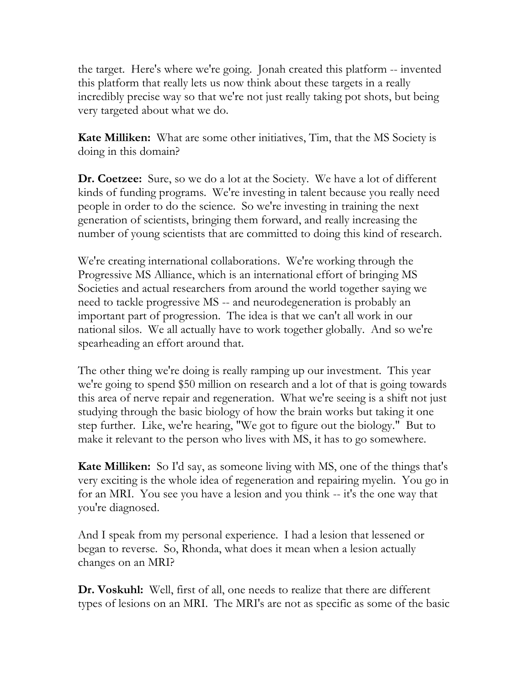the target. Here's where we're going. Jonah created this platform -- invented this platform that really lets us now think about these targets in a really incredibly precise way so that we're not just really taking pot shots, but being very targeted about what we do.

**Kate Milliken:** What are some other initiatives, Tim, that the MS Society is doing in this domain?

**Dr. Coetzee:** Sure, so we do a lot at the Society. We have a lot of different kinds of funding programs. We're investing in talent because you really need people in order to do the science. So we're investing in training the next generation of scientists, bringing them forward, and really increasing the number of young scientists that are committed to doing this kind of research.

We're creating international collaborations. We're working through the Progressive MS Alliance, which is an international effort of bringing MS Societies and actual researchers from around the world together saying we need to tackle progressive MS -- and neurodegeneration is probably an important part of progression. The idea is that we can't all work in our national silos. We all actually have to work together globally. And so we're spearheading an effort around that.

The other thing we're doing is really ramping up our investment. This year we're going to spend \$50 million on research and a lot of that is going towards this area of nerve repair and regeneration. What we're seeing is a shift not just studying through the basic biology of how the brain works but taking it one step further. Like, we're hearing, "We got to figure out the biology." But to make it relevant to the person who lives with MS, it has to go somewhere.

**Kate Milliken:** So I'd say, as someone living with MS, one of the things that's very exciting is the whole idea of regeneration and repairing myelin. You go in for an MRI. You see you have a lesion and you think -- it's the one way that you're diagnosed.

And I speak from my personal experience. I had a lesion that lessened or began to reverse. So, Rhonda, what does it mean when a lesion actually changes on an MRI?

**Dr. Voskuhl:** Well, first of all, one needs to realize that there are different types of lesions on an MRI. The MRI's are not as specific as some of the basic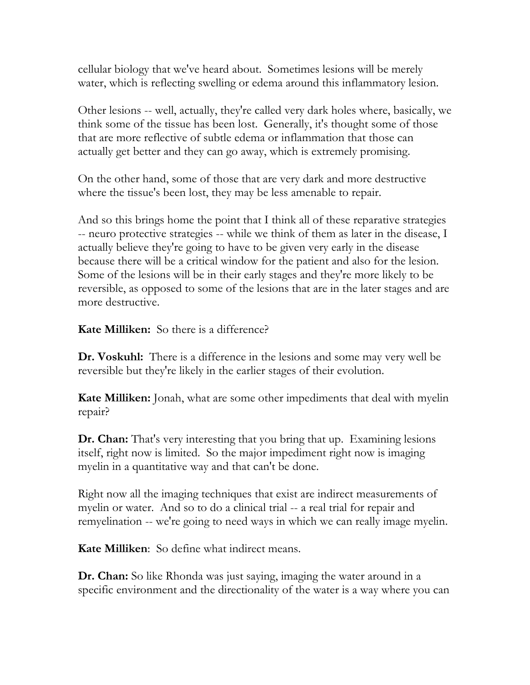cellular biology that we've heard about. Sometimes lesions will be merely water, which is reflecting swelling or edema around this inflammatory lesion.

Other lesions -- well, actually, they're called very dark holes where, basically, we think some of the tissue has been lost. Generally, it's thought some of those that are more reflective of subtle edema or inflammation that those can actually get better and they can go away, which is extremely promising.

On the other hand, some of those that are very dark and more destructive where the tissue's been lost, they may be less amenable to repair.

And so this brings home the point that I think all of these reparative strategies -- neuro protective strategies -- while we think of them as later in the disease, I actually believe they're going to have to be given very early in the disease because there will be a critical window for the patient and also for the lesion. Some of the lesions will be in their early stages and they're more likely to be reversible, as opposed to some of the lesions that are in the later stages and are more destructive.

**Kate Milliken:** So there is a difference?

**Dr. Voskuhl:** There is a difference in the lesions and some may very well be reversible but they're likely in the earlier stages of their evolution.

**Kate Milliken:** Jonah, what are some other impediments that deal with myelin repair?

**Dr. Chan:** That's very interesting that you bring that up. Examining lesions itself, right now is limited. So the major impediment right now is imaging myelin in a quantitative way and that can't be done.

Right now all the imaging techniques that exist are indirect measurements of myelin or water. And so to do a clinical trial -- a real trial for repair and remyelination -- we're going to need ways in which we can really image myelin.

**Kate Milliken**: So define what indirect means.

**Dr. Chan:** So like Rhonda was just saying, imaging the water around in a specific environment and the directionality of the water is a way where you can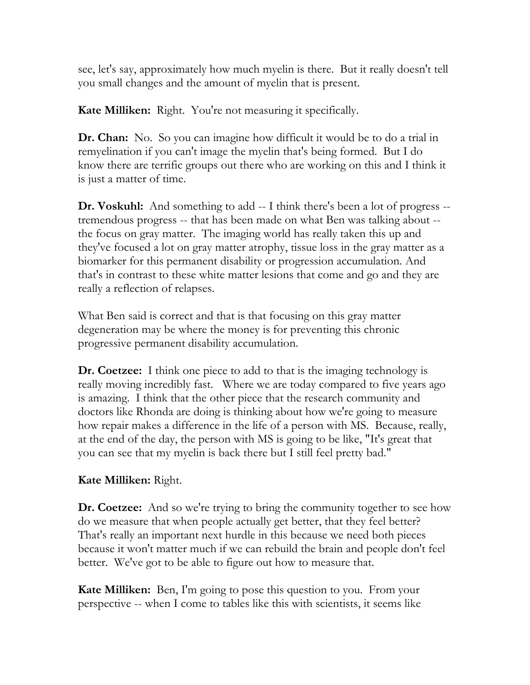see, let's say, approximately how much myelin is there. But it really doesn't tell you small changes and the amount of myelin that is present.

**Kate Milliken:** Right. You're not measuring it specifically.

**Dr. Chan:** No. So you can imagine how difficult it would be to do a trial in remyelination if you can't image the myelin that's being formed. But I do know there are terrific groups out there who are working on this and I think it is just a matter of time.

**Dr. Voskuhl:** And something to add -- I think there's been a lot of progress -tremendous progress -- that has been made on what Ben was talking about - the focus on gray matter. The imaging world has really taken this up and they've focused a lot on gray matter atrophy, tissue loss in the gray matter as a biomarker for this permanent disability or progression accumulation. And that's in contrast to these white matter lesions that come and go and they are really a reflection of relapses.

What Ben said is correct and that is that focusing on this gray matter degeneration may be where the money is for preventing this chronic progressive permanent disability accumulation.

**Dr. Coetzee:** I think one piece to add to that is the imaging technology is really moving incredibly fast. Where we are today compared to five years ago is amazing. I think that the other piece that the research community and doctors like Rhonda are doing is thinking about how we're going to measure how repair makes a difference in the life of a person with MS. Because, really, at the end of the day, the person with MS is going to be like, "It's great that you can see that my myelin is back there but I still feel pretty bad."

# **Kate Milliken:** Right.

**Dr. Coetzee:** And so we're trying to bring the community together to see how do we measure that when people actually get better, that they feel better? That's really an important next hurdle in this because we need both pieces because it won't matter much if we can rebuild the brain and people don't feel better. We've got to be able to figure out how to measure that.

**Kate Milliken:** Ben, I'm going to pose this question to you. From your perspective -- when I come to tables like this with scientists, it seems like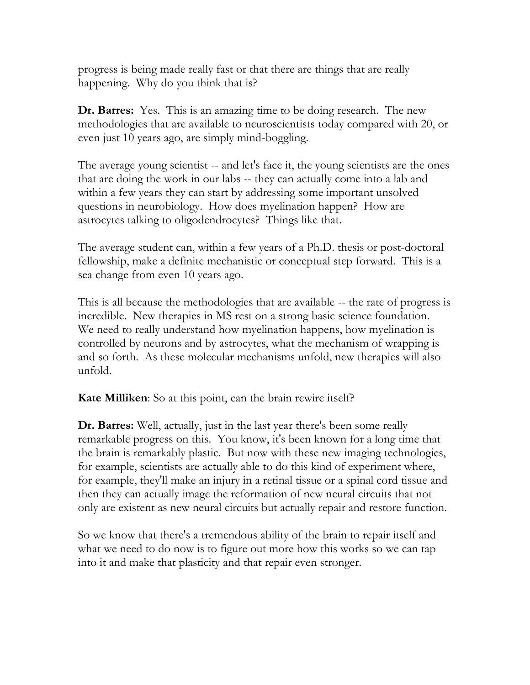progress is being made really fast or that there are things that are really happening. Why do you think that is?

**Dr. Barres:** Yes. This is an amazing time to be doing research. The new methodologies that are available to neuroscientists today compared with 20, or even just 10 years ago, are simply mind-boggling.

The average young scientist -- and let's face it, the young scientists are the ones that are doing the work in our labs -- they can actually come into a lab and within a few years they can start by addressing some important unsolved questions in neurobiology. How does myelination happen? How are astrocytes talking to oligodendrocytes? Things like that.

The average student can, within a few years of a Ph.D. thesis or post-doctoral fellowship, make a definite mechanistic or conceptual step forward. This is a sea change from even 10 years ago.

This is all because the methodologies that are available -- the rate of progress is incredible. New therapies in MS rest on a strong basic science foundation. We need to really understand how myelination happens, how myelination is controlled by neurons and by astrocytes, what the mechanism of wrapping is and so forth. As these molecular mechanisms unfold, new therapies will also unfold.

**Kate Milliken**: So at this point, can the brain rewire itself?

**Dr. Barres:** Well, actually, just in the last year there's been some really remarkable progress on this. You know, it's been known for a long time that the brain is remarkably plastic. But now with these new imaging technologies, for example, scientists are actually able to do this kind of experiment where, for example, they'll make an injury in a retinal tissue or a spinal cord tissue and then they can actually image the reformation of new neural circuits that not only are existent as new neural circuits but actually repair and restore function.

So we know that there's a tremendous ability of the brain to repair itself and what we need to do now is to figure out more how this works so we can tap into it and make that plasticity and that repair even stronger.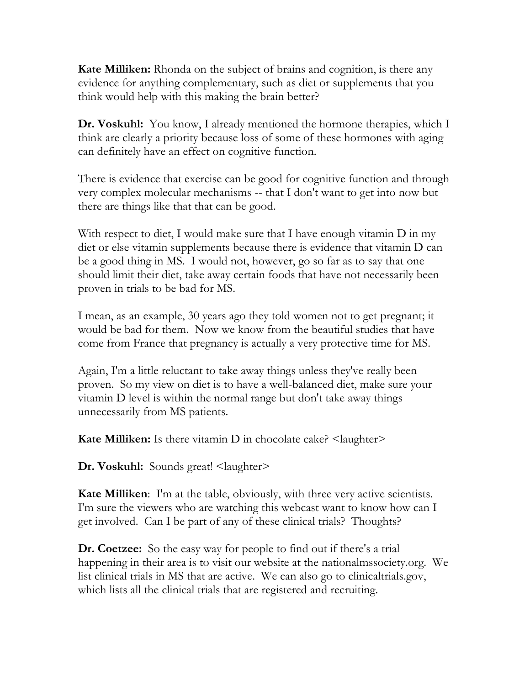**Kate Milliken:** Rhonda on the subject of brains and cognition, is there any evidence for anything complementary, such as diet or supplements that you think would help with this making the brain better?

**Dr. Voskuhl:** You know, I already mentioned the hormone therapies, which I think are clearly a priority because loss of some of these hormones with aging can definitely have an effect on cognitive function.

There is evidence that exercise can be good for cognitive function and through very complex molecular mechanisms -- that I don't want to get into now but there are things like that that can be good.

With respect to diet, I would make sure that I have enough vitamin D in my diet or else vitamin supplements because there is evidence that vitamin D can be a good thing in MS. I would not, however, go so far as to say that one should limit their diet, take away certain foods that have not necessarily been proven in trials to be bad for MS.

I mean, as an example, 30 years ago they told women not to get pregnant; it would be bad for them. Now we know from the beautiful studies that have come from France that pregnancy is actually a very protective time for MS.

Again, I'm a little reluctant to take away things unless they've really been proven. So my view on diet is to have a well-balanced diet, make sure your vitamin D level is within the normal range but don't take away things unnecessarily from MS patients.

**Kate Milliken:** Is there vitamin D in chocolate cake? <laughter>

**Dr. Voskuhl:** Sounds great! <laughter>

**Kate Milliken:** I'm at the table, obviously, with three very active scientists. I'm sure the viewers who are watching this webcast want to know how can I get involved. Can I be part of any of these clinical trials? Thoughts?

**Dr. Coetzee:** So the easy way for people to find out if there's a trial happening in their area is to visit our website at the nationalmssociety.org. We list clinical trials in MS that are active. We can also go to clinicaltrials.gov, which lists all the clinical trials that are registered and recruiting.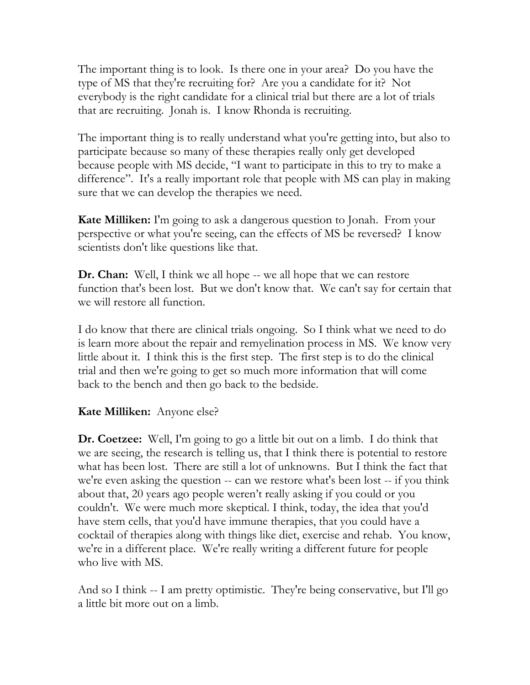The important thing is to look. Is there one in your area? Do you have the type of MS that they're recruiting for? Are you a candidate for it? Not everybody is the right candidate for a clinical trial but there are a lot of trials that are recruiting. Jonah is. I know Rhonda is recruiting.

The important thing is to really understand what you're getting into, but also to participate because so many of these therapies really only get developed because people with MS decide, "I want to participate in this to try to make a difference". It's a really important role that people with MS can play in making sure that we can develop the therapies we need.

**Kate Milliken:** I'm going to ask a dangerous question to Jonah. From your perspective or what you're seeing, can the effects of MS be reversed? I know scientists don't like questions like that.

**Dr. Chan:** Well, I think we all hope -- we all hope that we can restore function that's been lost. But we don't know that. We can't say for certain that we will restore all function.

I do know that there are clinical trials ongoing. So I think what we need to do is learn more about the repair and remyelination process in MS. We know very little about it. I think this is the first step. The first step is to do the clinical trial and then we're going to get so much more information that will come back to the bench and then go back to the bedside.

# **Kate Milliken:** Anyone else?

**Dr. Coetzee:** Well, I'm going to go a little bit out on a limb. I do think that we are seeing, the research is telling us, that I think there is potential to restore what has been lost. There are still a lot of unknowns. But I think the fact that we're even asking the question -- can we restore what's been lost -- if you think about that, 20 years ago people weren't really asking if you could or you couldn't. We were much more skeptical. I think, today, the idea that you'd have stem cells, that you'd have immune therapies, that you could have a cocktail of therapies along with things like diet, exercise and rehab. You know, we're in a different place. We're really writing a different future for people who live with MS.

And so I think -- I am pretty optimistic. They're being conservative, but I'll go a little bit more out on a limb.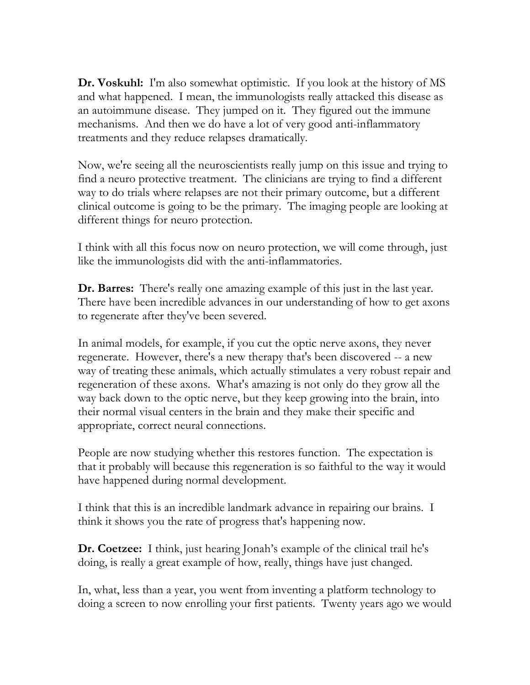**Dr. Voskuhl:** I'm also somewhat optimistic. If you look at the history of MS and what happened. I mean, the immunologists really attacked this disease as an autoimmune disease. They jumped on it. They figured out the immune mechanisms. And then we do have a lot of very good anti-inflammatory treatments and they reduce relapses dramatically.

Now, we're seeing all the neuroscientists really jump on this issue and trying to find a neuro protective treatment. The clinicians are trying to find a different way to do trials where relapses are not their primary outcome, but a different clinical outcome is going to be the primary. The imaging people are looking at different things for neuro protection.

I think with all this focus now on neuro protection, we will come through, just like the immunologists did with the anti-inflammatories.

**Dr. Barres:** There's really one amazing example of this just in the last year. There have been incredible advances in our understanding of how to get axons to regenerate after they've been severed.

In animal models, for example, if you cut the optic nerve axons, they never regenerate. However, there's a new therapy that's been discovered -- a new way of treating these animals, which actually stimulates a very robust repair and regeneration of these axons. What's amazing is not only do they grow all the way back down to the optic nerve, but they keep growing into the brain, into their normal visual centers in the brain and they make their specific and appropriate, correct neural connections.

People are now studying whether this restores function. The expectation is that it probably will because this regeneration is so faithful to the way it would have happened during normal development.

I think that this is an incredible landmark advance in repairing our brains. I think it shows you the rate of progress that's happening now.

**Dr. Coetzee:** I think, just hearing Jonah's example of the clinical trail he's doing, is really a great example of how, really, things have just changed.

In, what, less than a year, you went from inventing a platform technology to doing a screen to now enrolling your first patients. Twenty years ago we would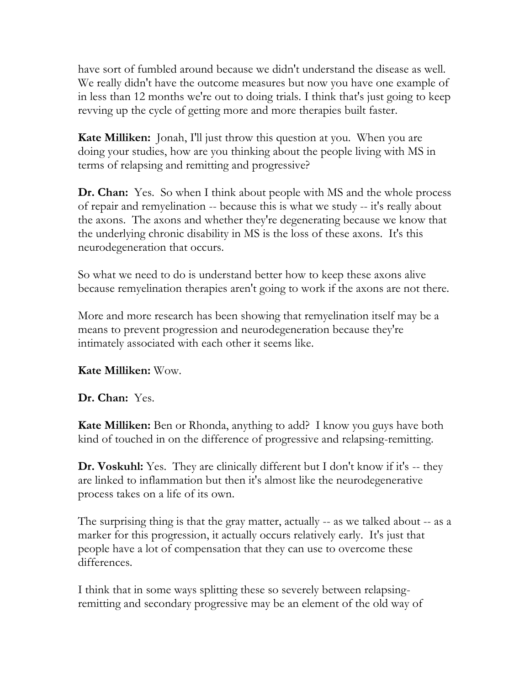have sort of fumbled around because we didn't understand the disease as well. We really didn't have the outcome measures but now you have one example of in less than 12 months we're out to doing trials. I think that's just going to keep revving up the cycle of getting more and more therapies built faster.

**Kate Milliken:** Jonah, I'll just throw this question at you. When you are doing your studies, how are you thinking about the people living with MS in terms of relapsing and remitting and progressive?

**Dr. Chan:** Yes. So when I think about people with MS and the whole process of repair and remyelination -- because this is what we study -- it's really about the axons. The axons and whether they're degenerating because we know that the underlying chronic disability in MS is the loss of these axons. It's this neurodegeneration that occurs.

So what we need to do is understand better how to keep these axons alive because remyelination therapies aren't going to work if the axons are not there.

More and more research has been showing that remyelination itself may be a means to prevent progression and neurodegeneration because they're intimately associated with each other it seems like.

### **Kate Milliken:** Wow.

**Dr. Chan:** Yes.

**Kate Milliken:** Ben or Rhonda, anything to add? I know you guys have both kind of touched in on the difference of progressive and relapsing-remitting.

**Dr. Voskuhl:** Yes. They are clinically different but I don't know if it's -- they are linked to inflammation but then it's almost like the neurodegenerative process takes on a life of its own.

The surprising thing is that the gray matter, actually -- as we talked about -- as a marker for this progression, it actually occurs relatively early. It's just that people have a lot of compensation that they can use to overcome these differences.

I think that in some ways splitting these so severely between relapsingremitting and secondary progressive may be an element of the old way of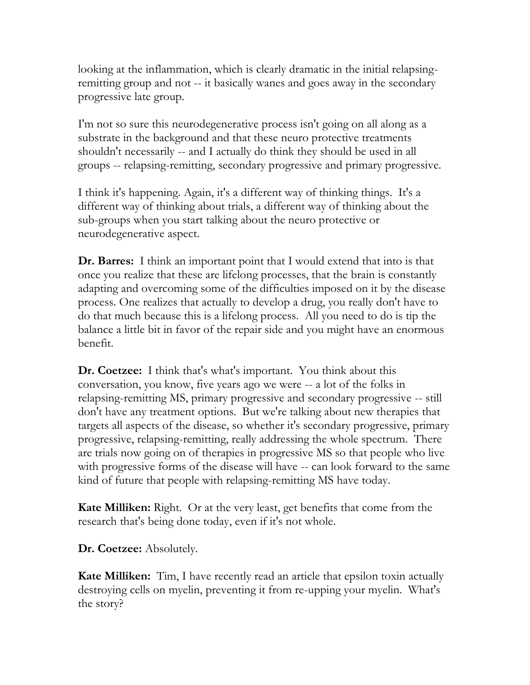looking at the inflammation, which is clearly dramatic in the initial relapsingremitting group and not -- it basically wanes and goes away in the secondary progressive late group.

I'm not so sure this neurodegenerative process isn't going on all along as a substrate in the background and that these neuro protective treatments shouldn't necessarily -- and I actually do think they should be used in all groups -- relapsing-remitting, secondary progressive and primary progressive.

I think it's happening. Again, it's a different way of thinking things. It's a different way of thinking about trials, a different way of thinking about the sub-groups when you start talking about the neuro protective or neurodegenerative aspect.

**Dr. Barres:** I think an important point that I would extend that into is that once you realize that these are lifelong processes, that the brain is constantly adapting and overcoming some of the difficulties imposed on it by the disease process. One realizes that actually to develop a drug, you really don't have to do that much because this is a lifelong process. All you need to do is tip the balance a little bit in favor of the repair side and you might have an enormous benefit.

**Dr. Coetzee:** I think that's what's important. You think about this conversation, you know, five years ago we were -- a lot of the folks in relapsing-remitting MS, primary progressive and secondary progressive -- still don't have any treatment options. But we're talking about new therapies that targets all aspects of the disease, so whether it's secondary progressive, primary progressive, relapsing-remitting, really addressing the whole spectrum. There are trials now going on of therapies in progressive MS so that people who live with progressive forms of the disease will have -- can look forward to the same kind of future that people with relapsing-remitting MS have today.

**Kate Milliken:** Right. Or at the very least, get benefits that come from the research that's being done today, even if it's not whole.

**Dr. Coetzee:** Absolutely.

**Kate Milliken:** Tim, I have recently read an article that epsilon toxin actually destroying cells on myelin, preventing it from re-upping your myelin. What's the story?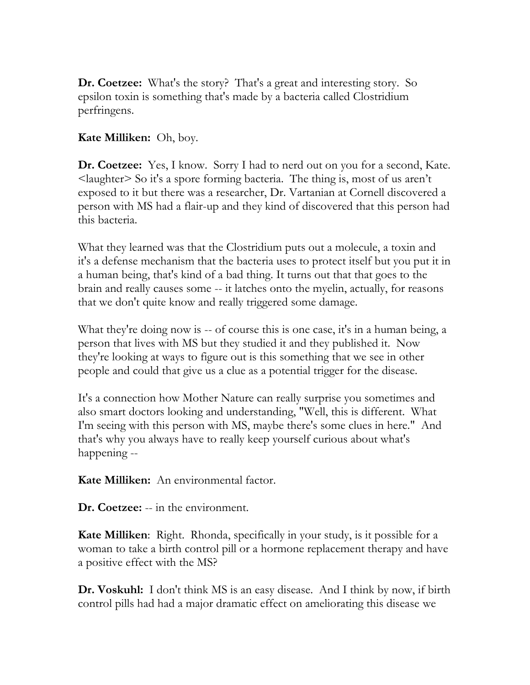**Dr. Coetzee:** What's the story? That's a great and interesting story. So epsilon toxin is something that's made by a bacteria called Clostridium perfringens.

### **Kate Milliken:** Oh, boy.

**Dr. Coetzee:** Yes, I know. Sorry I had to nerd out on you for a second, Kate. <laughter> So it's a spore forming bacteria. The thing is, most of us aren't exposed to it but there was a researcher, Dr. Vartanian at Cornell discovered a person with MS had a flair-up and they kind of discovered that this person had this bacteria.

What they learned was that the Clostridium puts out a molecule, a toxin and it's a defense mechanism that the bacteria uses to protect itself but you put it in a human being, that's kind of a bad thing. It turns out that that goes to the brain and really causes some -- it latches onto the myelin, actually, for reasons that we don't quite know and really triggered some damage.

What they're doing now is -- of course this is one case, it's in a human being, a person that lives with MS but they studied it and they published it. Now they're looking at ways to figure out is this something that we see in other people and could that give us a clue as a potential trigger for the disease.

It's a connection how Mother Nature can really surprise you sometimes and also smart doctors looking and understanding, "Well, this is different. What I'm seeing with this person with MS, maybe there's some clues in here." And that's why you always have to really keep yourself curious about what's happening --

**Kate Milliken:** An environmental factor.

**Dr. Coetzee:** -- in the environment.

**Kate Milliken**: Right. Rhonda, specifically in your study, is it possible for a woman to take a birth control pill or a hormone replacement therapy and have a positive effect with the MS?

**Dr. Voskuhl:** I don't think MS is an easy disease. And I think by now, if birth control pills had had a major dramatic effect on ameliorating this disease we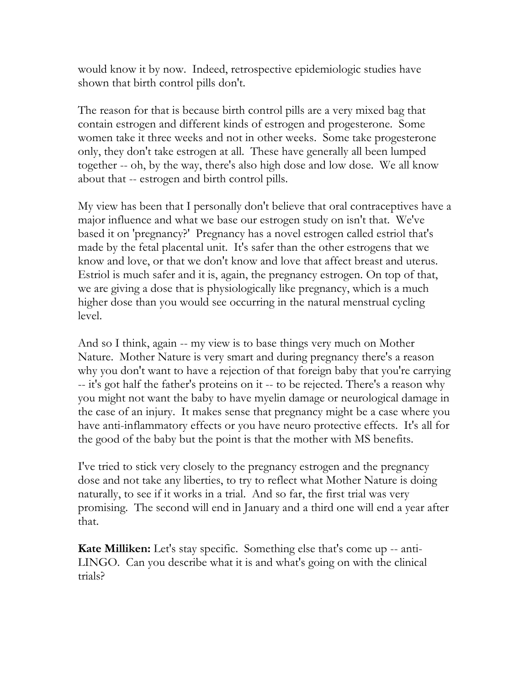would know it by now. Indeed, retrospective epidemiologic studies have shown that birth control pills don't.

The reason for that is because birth control pills are a very mixed bag that contain estrogen and different kinds of estrogen and progesterone. Some women take it three weeks and not in other weeks. Some take progesterone only, they don't take estrogen at all. These have generally all been lumped together -- oh, by the way, there's also high dose and low dose. We all know about that -- estrogen and birth control pills.

My view has been that I personally don't believe that oral contraceptives have a major influence and what we base our estrogen study on isn't that. We've based it on 'pregnancy?' Pregnancy has a novel estrogen called estriol that's made by the fetal placental unit. It's safer than the other estrogens that we know and love, or that we don't know and love that affect breast and uterus. Estriol is much safer and it is, again, the pregnancy estrogen. On top of that, we are giving a dose that is physiologically like pregnancy, which is a much higher dose than you would see occurring in the natural menstrual cycling level.

And so I think, again -- my view is to base things very much on Mother Nature. Mother Nature is very smart and during pregnancy there's a reason why you don't want to have a rejection of that foreign baby that you're carrying -- it's got half the father's proteins on it -- to be rejected. There's a reason why you might not want the baby to have myelin damage or neurological damage in the case of an injury. It makes sense that pregnancy might be a case where you have anti-inflammatory effects or you have neuro protective effects. It's all for the good of the baby but the point is that the mother with MS benefits.

I've tried to stick very closely to the pregnancy estrogen and the pregnancy dose and not take any liberties, to try to reflect what Mother Nature is doing naturally, to see if it works in a trial. And so far, the first trial was very promising. The second will end in January and a third one will end a year after that.

**Kate Milliken:** Let's stay specific. Something else that's come up -- anti-LINGO. Can you describe what it is and what's going on with the clinical trials?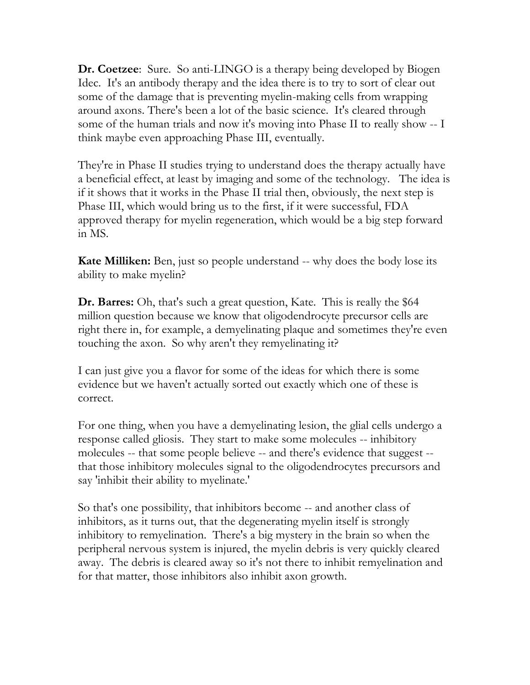**Dr. Coetzee**: Sure. So anti-LINGO is a therapy being developed by Biogen Idec. It's an antibody therapy and the idea there is to try to sort of clear out some of the damage that is preventing myelin-making cells from wrapping around axons. There's been a lot of the basic science. It's cleared through some of the human trials and now it's moving into Phase II to really show -- I think maybe even approaching Phase III, eventually.

They're in Phase II studies trying to understand does the therapy actually have a beneficial effect, at least by imaging and some of the technology. The idea is if it shows that it works in the Phase II trial then, obviously, the next step is Phase III, which would bring us to the first, if it were successful, FDA approved therapy for myelin regeneration, which would be a big step forward in MS.

**Kate Milliken:** Ben, just so people understand -- why does the body lose its ability to make myelin?

**Dr. Barres:** Oh, that's such a great question, Kate. This is really the \$64 million question because we know that oligodendrocyte precursor cells are right there in, for example, a demyelinating plaque and sometimes they're even touching the axon. So why aren't they remyelinating it?

I can just give you a flavor for some of the ideas for which there is some evidence but we haven't actually sorted out exactly which one of these is correct.

For one thing, when you have a demyelinating lesion, the glial cells undergo a response called gliosis. They start to make some molecules -- inhibitory molecules -- that some people believe -- and there's evidence that suggest - that those inhibitory molecules signal to the oligodendrocytes precursors and say 'inhibit their ability to myelinate.'

So that's one possibility, that inhibitors become -- and another class of inhibitors, as it turns out, that the degenerating myelin itself is strongly inhibitory to remyelination. There's a big mystery in the brain so when the peripheral nervous system is injured, the myelin debris is very quickly cleared away. The debris is cleared away so it's not there to inhibit remyelination and for that matter, those inhibitors also inhibit axon growth.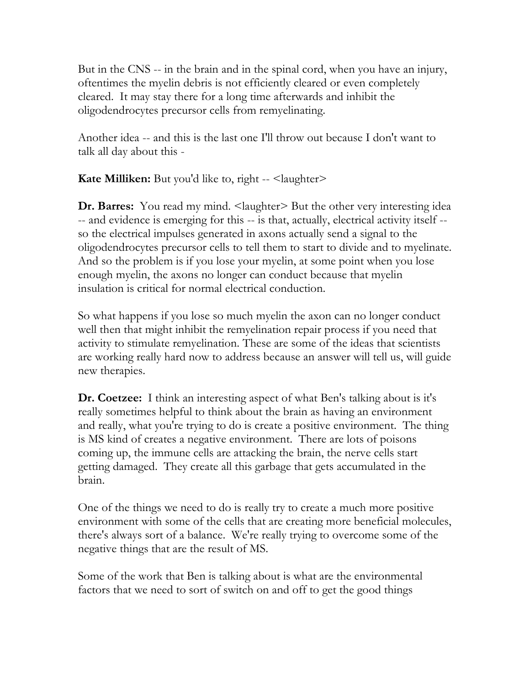But in the CNS -- in the brain and in the spinal cord, when you have an injury, oftentimes the myelin debris is not efficiently cleared or even completely cleared. It may stay there for a long time afterwards and inhibit the oligodendrocytes precursor cells from remyelinating.

Another idea -- and this is the last one I'll throw out because I don't want to talk all day about this -

**Kate Milliken:** But you'd like to, right -- <laughter>

**Dr. Barres:** You read my mind. <laughter> But the other very interesting idea -- and evidence is emerging for this -- is that, actually, electrical activity itself - so the electrical impulses generated in axons actually send a signal to the oligodendrocytes precursor cells to tell them to start to divide and to myelinate. And so the problem is if you lose your myelin, at some point when you lose enough myelin, the axons no longer can conduct because that myelin insulation is critical for normal electrical conduction.

So what happens if you lose so much myelin the axon can no longer conduct well then that might inhibit the remyelination repair process if you need that activity to stimulate remyelination. These are some of the ideas that scientists are working really hard now to address because an answer will tell us, will guide new therapies.

**Dr. Coetzee:** I think an interesting aspect of what Ben's talking about is it's really sometimes helpful to think about the brain as having an environment and really, what you're trying to do is create a positive environment. The thing is MS kind of creates a negative environment. There are lots of poisons coming up, the immune cells are attacking the brain, the nerve cells start getting damaged. They create all this garbage that gets accumulated in the brain.

One of the things we need to do is really try to create a much more positive environment with some of the cells that are creating more beneficial molecules, there's always sort of a balance. We're really trying to overcome some of the negative things that are the result of MS.

Some of the work that Ben is talking about is what are the environmental factors that we need to sort of switch on and off to get the good things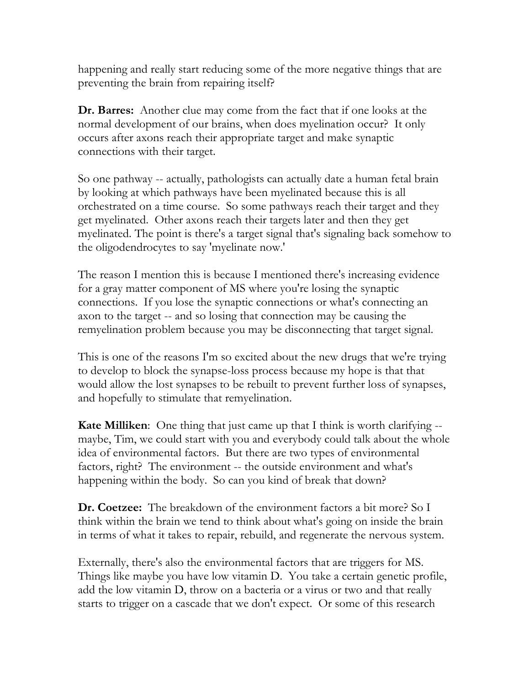happening and really start reducing some of the more negative things that are preventing the brain from repairing itself?

**Dr. Barres:** Another clue may come from the fact that if one looks at the normal development of our brains, when does myelination occur? It only occurs after axons reach their appropriate target and make synaptic connections with their target.

So one pathway -- actually, pathologists can actually date a human fetal brain by looking at which pathways have been myelinated because this is all orchestrated on a time course. So some pathways reach their target and they get myelinated. Other axons reach their targets later and then they get myelinated. The point is there's a target signal that's signaling back somehow to the oligodendrocytes to say 'myelinate now.'

The reason I mention this is because I mentioned there's increasing evidence for a gray matter component of MS where you're losing the synaptic connections. If you lose the synaptic connections or what's connecting an axon to the target -- and so losing that connection may be causing the remyelination problem because you may be disconnecting that target signal.

This is one of the reasons I'm so excited about the new drugs that we're trying to develop to block the synapse-loss process because my hope is that that would allow the lost synapses to be rebuilt to prevent further loss of synapses, and hopefully to stimulate that remyelination.

**Kate Milliken:** One thing that just came up that I think is worth clarifying -maybe, Tim, we could start with you and everybody could talk about the whole idea of environmental factors. But there are two types of environmental factors, right? The environment -- the outside environment and what's happening within the body. So can you kind of break that down?

**Dr. Coetzee:** The breakdown of the environment factors a bit more? So I think within the brain we tend to think about what's going on inside the brain in terms of what it takes to repair, rebuild, and regenerate the nervous system.

Externally, there's also the environmental factors that are triggers for MS. Things like maybe you have low vitamin D. You take a certain genetic profile, add the low vitamin D, throw on a bacteria or a virus or two and that really starts to trigger on a cascade that we don't expect. Or some of this research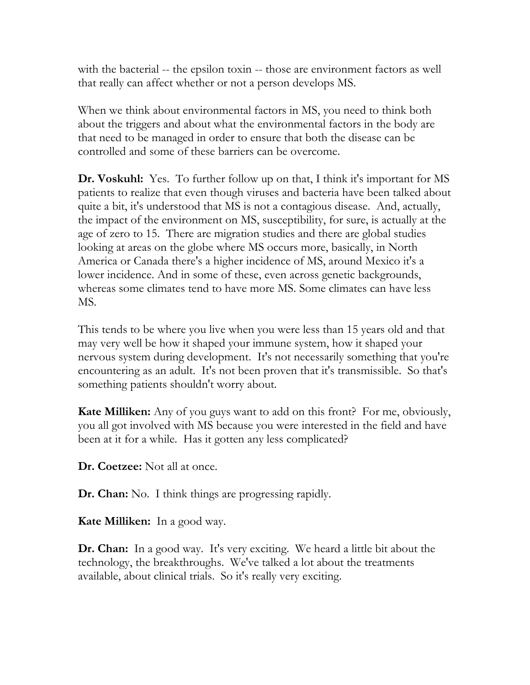with the bacterial -- the epsilon toxin -- those are environment factors as well that really can affect whether or not a person develops MS.

When we think about environmental factors in MS, you need to think both about the triggers and about what the environmental factors in the body are that need to be managed in order to ensure that both the disease can be controlled and some of these barriers can be overcome.

**Dr. Voskuhl:** Yes. To further follow up on that, I think it's important for MS patients to realize that even though viruses and bacteria have been talked about quite a bit, it's understood that MS is not a contagious disease. And, actually, the impact of the environment on MS, susceptibility, for sure, is actually at the age of zero to 15. There are migration studies and there are global studies looking at areas on the globe where MS occurs more, basically, in North America or Canada there's a higher incidence of MS, around Mexico it's a lower incidence. And in some of these, even across genetic backgrounds, whereas some climates tend to have more MS. Some climates can have less MS.

This tends to be where you live when you were less than 15 years old and that may very well be how it shaped your immune system, how it shaped your nervous system during development. It's not necessarily something that you're encountering as an adult. It's not been proven that it's transmissible. So that's something patients shouldn't worry about.

**Kate Milliken:** Any of you guys want to add on this front? For me, obviously, you all got involved with MS because you were interested in the field and have been at it for a while. Has it gotten any less complicated?

**Dr. Coetzee:** Not all at once.

**Dr. Chan:** No. I think things are progressing rapidly.

**Kate Milliken:** In a good way.

**Dr. Chan:** In a good way. It's very exciting. We heard a little bit about the technology, the breakthroughs. We've talked a lot about the treatments available, about clinical trials. So it's really very exciting.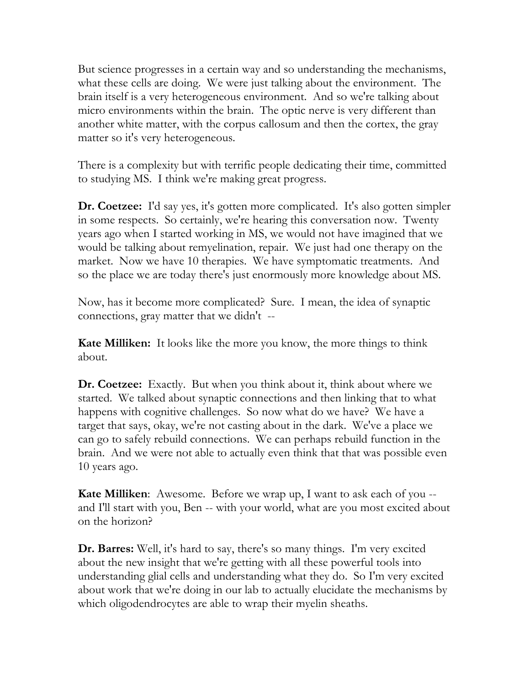But science progresses in a certain way and so understanding the mechanisms, what these cells are doing. We were just talking about the environment. The brain itself is a very heterogeneous environment. And so we're talking about micro environments within the brain. The optic nerve is very different than another white matter, with the corpus callosum and then the cortex, the gray matter so it's very heterogeneous.

There is a complexity but with terrific people dedicating their time, committed to studying MS. I think we're making great progress.

**Dr. Coetzee:** I'd say yes, it's gotten more complicated. It's also gotten simpler in some respects. So certainly, we're hearing this conversation now. Twenty years ago when I started working in MS, we would not have imagined that we would be talking about remyelination, repair. We just had one therapy on the market. Now we have 10 therapies. We have symptomatic treatments. And so the place we are today there's just enormously more knowledge about MS.

Now, has it become more complicated? Sure. I mean, the idea of synaptic connections, gray matter that we didn't --

**Kate Milliken:** It looks like the more you know, the more things to think about.

**Dr. Coetzee:** Exactly. But when you think about it, think about where we started. We talked about synaptic connections and then linking that to what happens with cognitive challenges. So now what do we have? We have a target that says, okay, we're not casting about in the dark. We've a place we can go to safely rebuild connections. We can perhaps rebuild function in the brain. And we were not able to actually even think that that was possible even 10 years ago.

**Kate Milliken**: Awesome. Before we wrap up, I want to ask each of you - and I'll start with you, Ben -- with your world, what are you most excited about on the horizon?

**Dr. Barres:** Well, it's hard to say, there's so many things. I'm very excited about the new insight that we're getting with all these powerful tools into understanding glial cells and understanding what they do. So I'm very excited about work that we're doing in our lab to actually elucidate the mechanisms by which oligodendrocytes are able to wrap their myelin sheaths.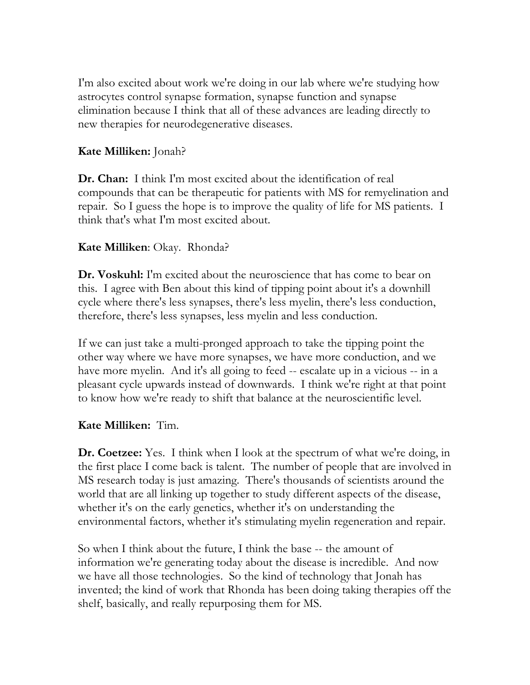I'm also excited about work we're doing in our lab where we're studying how astrocytes control synapse formation, synapse function and synapse elimination because I think that all of these advances are leading directly to new therapies for neurodegenerative diseases.

### **Kate Milliken:** Jonah?

**Dr. Chan:** I think I'm most excited about the identification of real compounds that can be therapeutic for patients with MS for remyelination and repair. So I guess the hope is to improve the quality of life for MS patients. I think that's what I'm most excited about.

### **Kate Milliken**: Okay. Rhonda?

**Dr. Voskuhl:** I'm excited about the neuroscience that has come to bear on this. I agree with Ben about this kind of tipping point about it's a downhill cycle where there's less synapses, there's less myelin, there's less conduction, therefore, there's less synapses, less myelin and less conduction.

If we can just take a multi-pronged approach to take the tipping point the other way where we have more synapses, we have more conduction, and we have more myelin. And it's all going to feed -- escalate up in a vicious -- in a pleasant cycle upwards instead of downwards. I think we're right at that point to know how we're ready to shift that balance at the neuroscientific level.

### **Kate Milliken:** Tim.

**Dr. Coetzee:** Yes. I think when I look at the spectrum of what we're doing, in the first place I come back is talent. The number of people that are involved in MS research today is just amazing. There's thousands of scientists around the world that are all linking up together to study different aspects of the disease, whether it's on the early genetics, whether it's on understanding the environmental factors, whether it's stimulating myelin regeneration and repair.

So when I think about the future, I think the base -- the amount of information we're generating today about the disease is incredible. And now we have all those technologies. So the kind of technology that Jonah has invented; the kind of work that Rhonda has been doing taking therapies off the shelf, basically, and really repurposing them for MS.